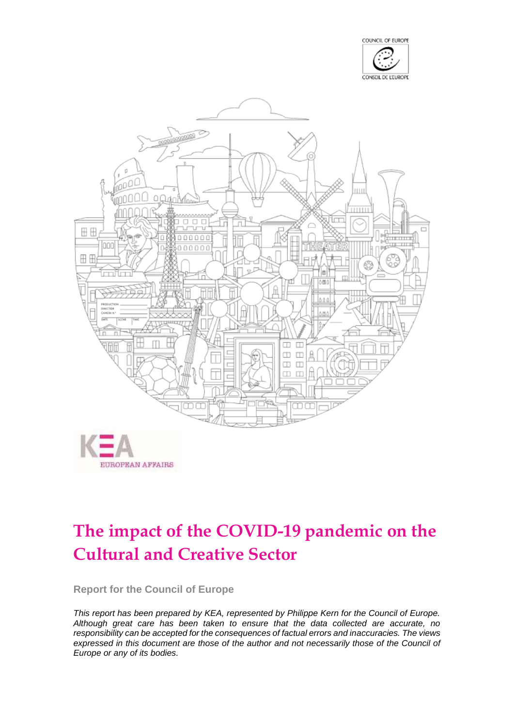



# **The impact of the COVID-19 pandemic on the Cultural and Creative Sector**

**Report for the Council of Europe**

*This report has been prepared by KEA, represented by Philippe Kern for the Council of Europe. Although great care has been taken to ensure that the data collected are accurate, no responsibility can be accepted for the consequences of factual errors and inaccuracies. The views expressed in this document are those of the author and not necessarily those of the Council of Europe or any of its bodies.*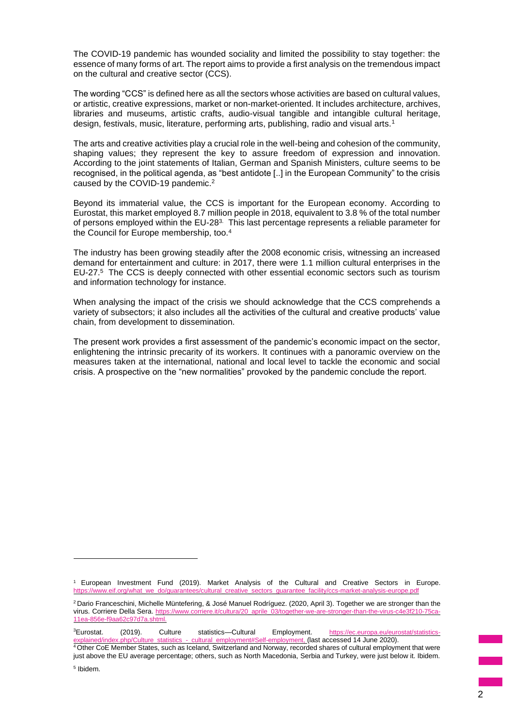The COVID-19 pandemic has wounded sociality and limited the possibility to stay together: the essence of many forms of art. The report aims to provide a first analysis on the tremendous impact on the cultural and creative sector (CCS).

The wording "CCS" is defined here as all the sectors whose activities are based on cultural values, or artistic, creative expressions, market or non-market-oriented. It includes architecture, archives, libraries and museums, artistic crafts, audio-visual tangible and intangible cultural heritage, design, festivals, music, literature, performing arts, publishing, radio and visual arts.<sup>1</sup>

The arts and creative activities play a crucial role in the well-being and cohesion of the community, shaping values; they represent the key to assure freedom of expression and innovation. According to the joint statements of Italian, German and Spanish Ministers, culture seems to be recognised, in the political agenda, as "best antidote [..] in the European Community" to the crisis caused by the COVID-19 pandemic.<sup>2</sup>

Beyond its immaterial value, the CCS is important for the European economy. According to Eurostat, this market employed 8.7 million people in 2018, equivalent to 3.8 % of the total number of persons employed within the EU-28<sup>3.</sup> This last percentage represents a reliable parameter for the Council for Europe membership, too.<sup>4</sup>

The industry has been growing steadily after the 2008 economic crisis, witnessing an increased demand for entertainment and culture: in 2017, there were 1.1 million cultural enterprises in the EU-27. <sup>5</sup> The CCS is deeply connected with other essential economic sectors such as tourism and information technology for instance.

When analysing the impact of the crisis we should acknowledge that the CCS comprehends a variety of subsectors; it also includes all the activities of the cultural and creative products' value chain, from development to dissemination.

The present work provides a first assessment of the pandemic's economic impact on the sector, enlightening the intrinsic precarity of its workers. It continues with a panoramic overview on the measures taken at the international, national and local level to tackle the economic and social crisis. A prospective on the "new normalities" provoked by the pandemic conclude the report.

<sup>3</sup>Eurostat. (2019). Culture statistics--Cultural Employment. [https://ec.europa.eu/eurostat/statistics](https://ec.europa.eu/eurostat/statistics-explained/index.php/Culture_statistics_-_cultural_employment#Self-employment)ed/index.php/Culture\_statistics\_-\_cultural\_employment#Self-employment, (last accessed 14 June 2020).

<sup>1</sup> European Investment Fund (2019). Market Analysis of the Cultural and Creative Sectors in Europe. [https://www.eif.org/what\\_we\\_do/guarantees/cultural\\_creative\\_sectors\\_guarantee\\_facility/ccs-market-analysis-europe.pdf](https://www.eif.org/what_we_do/guarantees/cultural_creative_sectors_guarantee_facility/ccs-market-analysis-europe.pdf)

<sup>2</sup> Dario Franceschini, Michelle Müntefering, & José Manuel Rodríguez. (2020, April 3). Together we are stronger than the virus. Corriere Della Sera. https://www.corriere.it/cultura/20\_aprile\_03/together-we-are-stronger-than-the-virus-c4 [11ea-856e-f9aa62c97d7a.shtml.](https://www.corriere.it/cultura/20_aprile_03/together-we-are-stronger-than-the-virus-c4e3f210-75ca-11ea-856e-f9aa62c97d7a.shtml)

<sup>4</sup> Other CoE Member States, such as Iceland, Switzerland and Norway, recorded shares of cultural employment that were just above the EU average percentage; others, such as North Macedonia, Serbia and Turkey, were just below it. Ibidem.

<sup>5</sup> Ibidem.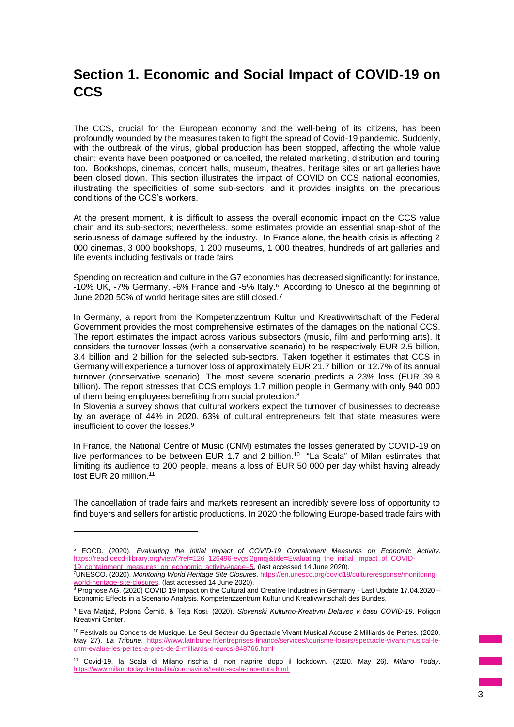# **Section 1. Economic and Social Impact of COVID-19 on CCS**

The CCS, crucial for the European economy and the well-being of its citizens, has been profoundly wounded by the measures taken to fight the spread of Covid-19 pandemic. Suddenly, with the outbreak of the virus, global production has been stopped, affecting the whole value chain: events have been postponed or cancelled, the related marketing, distribution and touring too. Bookshops, cinemas, concert halls, museum, theatres, heritage sites or art galleries have been closed down. This section illustrates the impact of COVID on CCS national economies, illustrating the specificities of some sub-sectors, and it provides insights on the precarious conditions of the CCS's workers.

At the present moment, it is difficult to assess the overall economic impact on the CCS value chain and its sub-sectors; nevertheless, some estimates provide an essential snap-shot of the seriousness of damage suffered by the industry. In France alone, the health crisis is affecting 2 000 cinemas, 3 000 bookshops, 1 200 museums, 1 000 theatres, hundreds of art galleries and life events including festivals or trade fairs.

Spending on recreation and culture in the G7 economies has decreased significantly: for instance, -10% UK, -7% Germany, -6% France and -5% Italy.<sup>6</sup> According to Unesco at the beginning of June 2020 50% of world heritage sites are still closed.<sup>7</sup>

In Germany, a report from the Kompetenzzentrum Kultur und Kreativwirtschaft of the Federal Government provides the most comprehensive estimates of the damages on the national CCS. The report estimates the impact across various subsectors (music, film and performing arts). It considers the turnover losses (with a conservative scenario) to be respectively EUR 2.5 billion, 3.4 billion and 2 billion for the selected sub-sectors. Taken together it estimates that CCS in Germany will experience a turnover loss of approximately EUR 21.7 billion or 12.7% of its annual turnover (conservative scenario). The most severe scenario predicts a 23% loss (EUR 39.8 billion). The report stresses that CCS employs 1.7 million people in Germany with only 940 000 of them being employees benefiting from social protection.<sup>8</sup>

In Slovenia a survey shows that cultural workers expect the turnover of businesses to decrease by an average of 44% in 2020. 63% of cultural entrepreneurs felt that state measures were insufficient to cover the losses.<sup>9</sup>

In France, the National Centre of Music (CNM) estimates the losses generated by COVID-19 on live performances to be between EUR 1.7 and 2 billion.<sup>10</sup> "La Scala" of Milan estimates that limiting its audience to 200 people, means a loss of EUR 50 000 per day whilst having already lost EUR 20 million.<sup>11</sup>

The cancellation of trade fairs and markets represent an incredibly severe loss of opportunity to find buyers and sellers for artistic productions. In 2020 the following Europe-based trade fairs with

<sup>6</sup> EOCD. (2020). *Evaluating the Initial Impact of COVID-19 Containment Measures on Economic Activity*. [https://read.oecd-ilibrary.org/view/?ref=126\\_126496-evgsi2gmqj&title=Evaluating\\_the\\_initial\\_impact\\_of\\_COVID](https://read.oecd-ilibrary.org/view/?ref=126_126496-evgsi2gmqj&title=Evaluating_the_initial_impact_of_COVID-19_containment_measures_on_economic_activity#page=5)containment\_measures\_on\_economic\_activity#page=5, (last accessed 14 June 2020).

<sup>7</sup>UNESCO. (2020). *Monitoring World Heritage Site Closures*. [https://en.unesco.org/covid19/cultureresponse/monitoring](https://en.unesco.org/covid19/cultureresponse/monitoring-world-heritage-site-closures)[world-heritage-site-closures,](https://en.unesco.org/covid19/cultureresponse/monitoring-world-heritage-site-closures) (last accessed 14 June 2020).

<sup>8</sup> Prognose AG. (2020) COVID 19 Impact on the Cultural and Creative Industries in Germany - Last Update 17.04.2020 – Economic Effects in a Scenario Analysis, Kompetenzzentrum Kultur und Kreativwirtschaft des Bundes.

<sup>9</sup> Eva Matjaž, Polona Černič, & Teja Kosi. (2020). *Slovenski Kulturno-Kreativni Delavec v času COVID-19*. Poligon Kreativni Center.

<sup>&</sup>lt;sup>10</sup> Festivals ou Concerts de Musique. Le Seul Secteur du Spectacle Vivant Musical Accuse 2 Milliards de Pertes. (2020, May 27). *La Tribune*. [https://www.latribune.fr/entreprises-finance/services/tourisme-loisirs/spectacle-vivant-musical-le](https://www.latribune.fr/entreprises-finance/services/tourisme-loisirs/spectacle-vivant-musical-le-cnm-evalue-les-pertes-a-pres-de-2-milliards-d-euros-848766.html)[cnm-evalue-les-pertes-a-pres-de-2-milliards-d-euros-848766.html](https://www.latribune.fr/entreprises-finance/services/tourisme-loisirs/spectacle-vivant-musical-le-cnm-evalue-les-pertes-a-pres-de-2-milliards-d-euros-848766.html)

<sup>11</sup> Covid-19, la Scala di Milano rischia di non riaprire dopo il lockdown. (2020, May 26). *Milano Today*. https://www.milanotoday.it/attualita/coronavirus/teatro-scala-riapertura.html.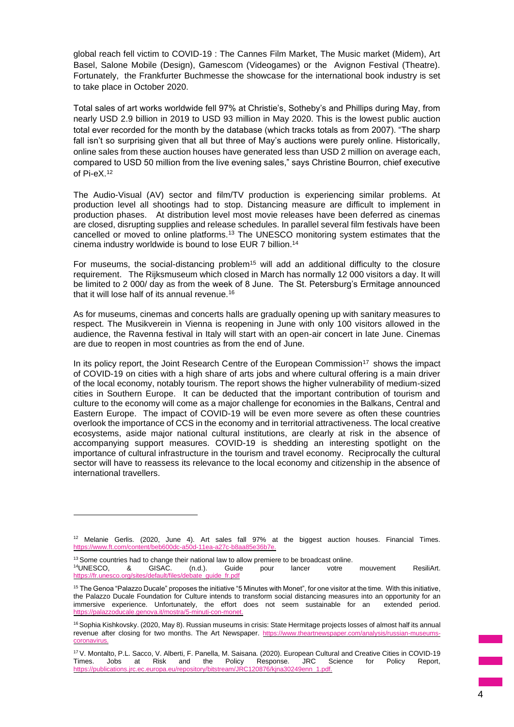global reach fell victim to COVID-19 : The Cannes Film Market, The Music market (Midem), Art Basel, Salone Mobile (Design), Gamescom (Videogames) or the Avignon Festival (Theatre). Fortunately, the Frankfurter Buchmesse the showcase for the international book industry is set to take place in October 2020.

Total sales of art works worldwide fell 97% at Christie's, Sotheby's and Phillips during May, from nearly USD 2.9 billion in 2019 to USD 93 million in May 2020. This is the lowest public auction total ever recorded for the month by the database (which tracks totals as from 2007). "The sharp fall isn't so surprising given that all but three of May's auctions were purely online. Historically, online sales from these auction houses have generated less than USD 2 million on average each, compared to USD 50 million from the live evening sales," says Christine Bourron, chief executive of Pi-eX.<sup>12</sup>

The Audio-Visual (AV) sector and film/TV production is experiencing similar problems. At production level all shootings had to stop. Distancing measure are difficult to implement in production phases. At distribution level most movie releases have been deferred as cinemas are closed, disrupting supplies and release schedules. In parallel several film festivals have been cancelled or moved to online platforms.<sup>13</sup> The UNESCO monitoring system estimates that the cinema industry worldwide is bound to lose EUR 7 billion.<sup>14</sup>

For museums, the social-distancing problem<sup>15</sup> will add an additional difficulty to the closure requirement. The Rijksmuseum which closed in March has normally 12 000 visitors a day. It will be limited to 2 000/ day as from the week of 8 June. The St. Petersburg's Ermitage announced that it will lose half of its annual revenue.<sup>16</sup>

As for museums, cinemas and concerts halls are gradually opening up with sanitary measures to respect. The Musikverein in Vienna is reopening in June with only 100 visitors allowed in the audience, the Ravenna festival in Italy will start with an open-air concert in late June. Cinemas are due to reopen in most countries as from the end of June.

In its policy report, the Joint Research Centre of the European Commission<sup>17</sup> shows the impact of COVID-19 on cities with a high share of arts jobs and where cultural offering is a main driver of the local economy, notably tourism. The report shows the higher vulnerability of medium-sized cities in Southern Europe. It can be deducted that the important contribution of tourism and culture to the economy will come as a major challenge for economies in the Balkans, Central and Eastern Europe. The impact of COVID-19 will be even more severe as often these countries overlook the importance of CCS in the economy and in territorial attractiveness. The local creative ecosystems, aside major national cultural institutions, are clearly at risk in the absence of accompanying support measures. COVID-19 is shedding an interesting spotlight on the importance of cultural infrastructure in the tourism and travel economy. Reciprocally the cultural sector will have to reassess its relevance to the local economy and citizenship in the absence of international travellers.

 $12$  Melanie Gerlis. (2020, June 4). Art sales fall  $97%$  at the biggest auction houses. Financial Times. [https://www.ft.com/content/beb600dc-a50d-11ea-a27c-b8aa85e36b7e.](https://www.ft.com/content/beb600dc-a50d-11ea-a27c-b8aa85e36b7e)

<sup>&</sup>lt;sup>13</sup> Some countries had to change their national law to allow premiere to be broadcast online.<br><sup>14</sup>UNESCO. & GISAC. (n.d.). Guide pour lancer votre <sup>14</sup>UNESCO, & GISAC. (n.d.). Guide pour lancer votre mouvement ResiliArt. [https://fr.unesco.org/sites/default/files/debate\\_guide\\_fr.pdf](https://fr.unesco.org/sites/default/files/debate_guide_fr.pdf)

<sup>15</sup> The Genoa "Palazzo Ducale" proposes the initiative "5 Minutes with Monet", for one visitor at the time. With this initiative, the Palazzo Ducale Foundation for Culture intends to transform social distancing measures into an opportunity for an immersive experience. Unfortunately, the effort does not seem sustainable for an extended period.  $in$ uti-con-monet

<sup>&</sup>lt;sup>16</sup> Sophia Kishkovsky. (2020, May 8). Russian museums in crisis: State Hermitage projects losses of almost half its annual revenue after closing for two months. The Art Newspaper. [https://www.theartnewspaper.com/analysis/russian-museums](https://www.theartnewspaper.com/analysis/russian-museums-coronavirus)[coronavirus.](https://www.theartnewspaper.com/analysis/russian-museums-coronavirus)

<sup>17</sup> V. Montalto, P.L. Sacco, V. Alberti, F. Panella, M. Saisana. (2020). European Cultural and Creative Cities in COVID-19 Times. Jobs at Risk and the Policy Response. JRC Science for Policy Report, https://publications.jrc.ec.europa.eu/repository/bitstream/JRC120876/kjna30249enn\_1.pdf.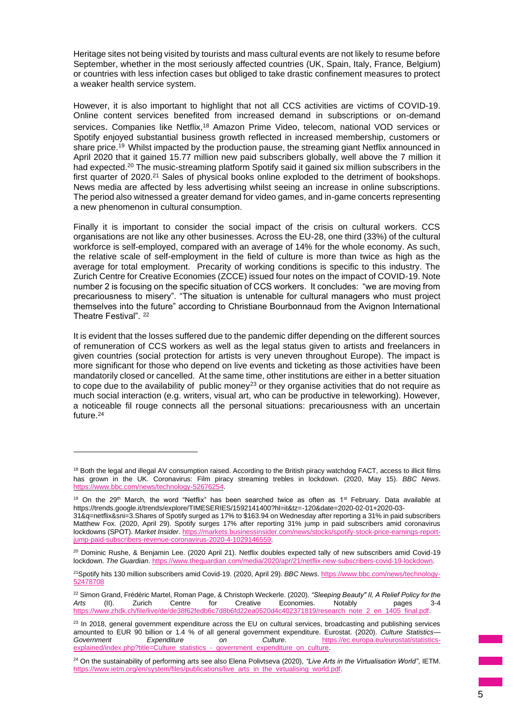Heritage sites not being visited by tourists and mass cultural events are not likely to resume before September, whether in the most seriously affected countries (UK, Spain, Italy, France, Belgium) or countries with less infection cases but obliged to take drastic confinement measures to protect a weaker health service system.

However, it is also important to highlight that not all CCS activities are victims of COVID-19. Online content services benefited from increased demand in subscriptions or on-demand services. Companies like Netflix,<sup>18</sup> Amazon Prime Video, telecom, national VOD services or Spotify enjoyed substantial business growth reflected in increased membership, customers or share price.<sup>19</sup> Whilst impacted by the production pause, the streaming giant Netflix announced in April 2020 that it gained 15.77 million new paid subscribers globally, well above the 7 million it had expected.<sup>20</sup> The music-streaming platform Spotify said it gained six million subscribers in the first quarter of 2020.<sup>21</sup> Sales of physical books online exploded to the detriment of bookshops. News media are affected by less advertising whilst seeing an increase in online subscriptions. The period also witnessed a greater demand for video games, and in-game concerts representing a new phenomenon in cultural consumption.

Finally it is important to consider the social impact of the crisis on cultural workers. CCS organisations are not like any other businesses. Across the EU-28, one third (33%) of the cultural workforce is self-employed, compared with an average of 14% for the whole economy. As such, the relative scale of self-employment in the field of culture is more than twice as high as the average for total employment. Precarity of working conditions is specific to this industry. The Zurich Centre for Creative Economies (ZCCE) issued four notes on the impact of COVID-19. Note number 2 is focusing on the specific situation of CCS workers. It concludes: "we are moving from precariousness to misery". "The situation is untenable for cultural managers who must project themselves into the future" according to Christiane Bourbonnaud from the Avignon International Theatre Festival". <sup>22</sup>

It is evident that the losses suffered due to the pandemic differ depending on the different sources of remuneration of CCS workers as well as the legal status given to artists and freelancers in given countries (social protection for artists is very uneven throughout Europe). The impact is more significant for those who depend on live events and ticketing as those activities have been mandatorily closed or cancelled. At the same time, other institutions are either in a better situation to cope due to the availability of public money<sup>23</sup> or they organise activities that do not require as much social interaction (e.g. writers, visual art, who can be productive in teleworking). However, a noticeable fil rouge connects all the personal situations: precariousness with an uncertain future.<sup>24</sup>

<sup>&</sup>lt;sup>18</sup> Both the legal and illegal AV consumption raised. According to the British piracy watchdog FACT, access to illicit films has grown in the UK. Coronavirus: Film piracy streaming trebles in lockdown. (2020, May 15). *BBC News*. [https://www.bbc.com/news/technology-52676254.](https://www.bbc.com/news/technology-52676254)

<sup>&</sup>lt;sup>19</sup> On the 29<sup>th</sup> March, the word "Netflix" has been searched twice as often as 1<sup>st</sup> February. Data available at https://trends.google.it/trends/explore/TIMESERIES/1592141400?hl=it&tz=-120&date=2020-02-01+2020-03- 31&q=netflix&sni=3.Shares of Spotify surged as 17% to \$163.94 on Wednesday after reporting a 31% in paid subscribers

Matthew Fox. (2020, April 29). Spotify surges 17% after reporting 31% jump in paid subscribers amid coronavirus lockdowns (SPOT). *Market Insider*[. https://markets.businessinsider.com/news/stocks/spotify-stock-price-earnings-report](https://markets.businessinsider.com/news/stocks/spotify-stock-price-earnings-report-jump-paid-subscribers-revenue-coronavirus-2020-4-1029146559)[jump-paid-subscribers-revenue-coronavirus-2020-4-1029146559.](https://markets.businessinsider.com/news/stocks/spotify-stock-price-earnings-report-jump-paid-subscribers-revenue-coronavirus-2020-4-1029146559)

<sup>&</sup>lt;sup>20</sup> Dominic Rushe, & Benjamin Lee. (2020 April 21). Netflix doubles expected tally of new subscribers amid Covid-19 lockdown. *The Guardian*[. https://www.theguardian.com/media/2020/apr/21/netflix-new-subscribers-covid-19-lockdown.](https://www.theguardian.com/media/2020/apr/21/netflix-new-subscribers-covid-19-lockdown)

<sup>21</sup>Spotify hits 130 million subscribers amid Covid-19. (2020, April 29). *BBC News*[. https://www.bbc.com/news/technology-](https://www.bbc.com/news/technology-52478708)[52478708](https://www.bbc.com/news/technology-52478708)

<sup>22</sup> Simon Grand, Frédéric Martel, Roman Page, & Christoph Weckerle. (2020). *"Sleeping Beauty" II, A Relief Policy for the Arts* (II). Zurich Centre for Creative Economies. Notably pages 3-4 [https://www.zhdk.ch/file/live/de/de38f62fedb6c7d8b6fd22ea0520d4c402371819/research\\_note\\_2\\_en\\_1405\\_final.pdf.](https://www.zhdk.ch/file/live/de/de38f62fedb6c7d8b6fd22ea0520d4c402371819/research_note_2_en_1405_final.pdf)

 $23$  In 2018, general government expenditure across the EU on cultural services, broadcasting and publishing services amounted to EUR 90 billion or 1.4 % of all general government expenditure. Eurostat. (2020). *Culture Statistics* [https://ec.europa.eu/eurostat/statistics](https://ec.europa.eu/eurostat/statistics-explained/index.php?title=Culture_statistics_-_government_expenditure_on_culture)[explained/index.php?title=Culture\\_statistics\\_-\\_government\\_expenditure\\_on\\_culture.](https://ec.europa.eu/eurostat/statistics-explained/index.php?title=Culture_statistics_-_government_expenditure_on_culture)

<sup>24</sup> On the sustainability of performing arts see also Elena Polivtseva (2020), *"Live Arts in the Virtualisation World"*, IETM. https://www.ietm.org/en/system/files/publications/live\_arts\_in\_the\_virtualising\_world.pdf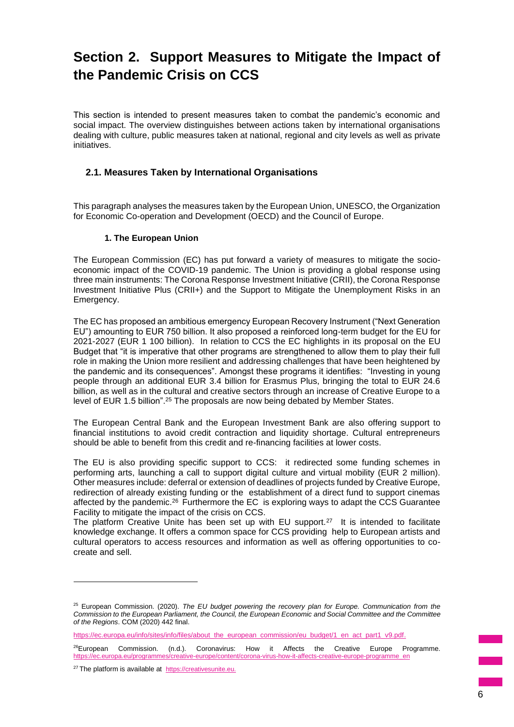# **Section 2. Support Measures to Mitigate the Impact of the Pandemic Crisis on CCS**

This section is intended to present measures taken to combat the pandemic's economic and social impact. The overview distinguishes between actions taken by international organisations dealing with culture, public measures taken at national, regional and city levels as well as private initiatives.

# **2.1. Measures Taken by International Organisations**

This paragraph analyses the measures taken by the European Union, UNESCO, the Organization for Economic Co-operation and Development (OECD) and the Council of Europe.

#### **1. The European Union**

The European Commission (EC) has put forward a variety of measures to mitigate the socioeconomic impact of the COVID-19 pandemic. The Union is providing a global response using three main instruments: The Corona Response Investment Initiative (CRII), the Corona Response Investment Initiative Plus (CRII+) and the Support to Mitigate the Unemployment Risks in an Emergency.

The EC has proposed an ambitious emergency European Recovery Instrument ("Next Generation EU") amounting to EUR 750 billion. It also proposed a reinforced long-term budget for the EU for 2021-2027 (EUR 1 100 billion). In relation to CCS the EC highlights in its proposal on the EU Budget that "it is imperative that other programs are strengthened to allow them to play their full role in making the Union more resilient and addressing challenges that have been heightened by the pandemic and its consequences". Amongst these programs it identifies: "Investing in young people through an additional EUR 3.4 billion for Erasmus Plus, bringing the total to EUR 24.6 billion, as well as in the cultural and creative sectors through an increase of Creative Europe to a level of EUR 1.5 billion".<sup>25</sup> The proposals are now being debated by Member States.

The European Central Bank and the European Investment Bank are also offering support to financial institutions to avoid credit contraction and liquidity shortage. Cultural entrepreneurs should be able to benefit from this credit and re-financing facilities at lower costs.

The EU is also providing specific support to CCS: it redirected some funding schemes in performing arts, launching a call to support digital culture and virtual mobility (EUR 2 million). Other measures include: deferral or extension of deadlines of projects funded by Creative Europe, redirection of already existing funding or the establishment of a direct fund to support cinemas affected by the pandemic.<sup>26</sup> Furthermore the EC is exploring ways to adapt the CCS Guarantee Facility to mitigate the impact of the crisis on CCS.

The platform Creative Unite has been set up with EU support. $27$  It is intended to facilitate knowledge exchange. It offers a common space for CCS providing help to European artists and cultural operators to access resources and information as well as offering opportunities to cocreate and sell.

<sup>25</sup> European Commission. (2020). *The EU budget powering the recovery plan for Europe. Communication from the Commission to the European Parliament, the Council, the European Economic and Social Committee and the Committee of the Regions*. COM (2020) 442 final.

[https://ec.europa.eu/info/sites/info/files/about\\_the\\_european\\_commission/eu\\_budget/1\\_en\\_act\\_part1\\_v9.pdf.](https://ec.europa.eu/info/sites/info/files/about_the_european_commission/eu_budget/1_en_act_part1_v9.pdf)

<sup>&</sup>lt;sup>26</sup>European Commission. (n.d.). Coronavirus: How it Affects the Creative Europe Programme. [https://ec.europa.eu/programmes/creative-europe/content/corona-virus-how-it-affects-creative-europe-programme\\_en](https://ec.europa.eu/programmes/creative-europe/content/corona-virus-how-it-affects-creative-europe-programme_en)

<sup>27</sup> The platform is available at [https://creativesunite.eu.](https://creativesunite.eu/)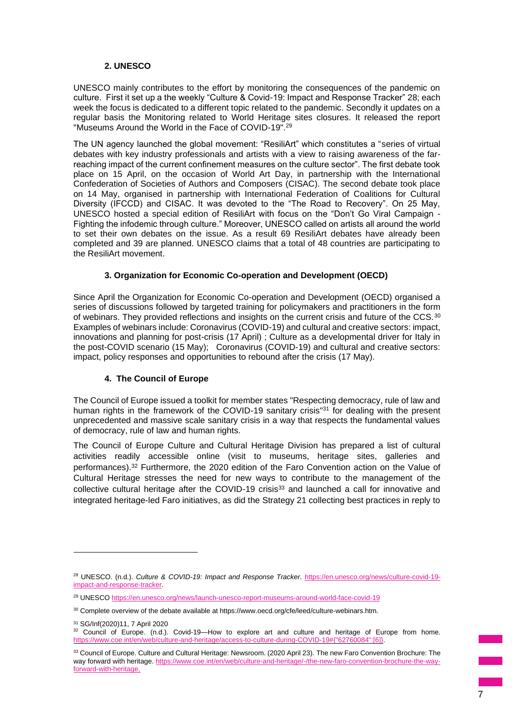# **2. UNESCO**

UNESCO mainly contributes to the effort by monitoring the consequences of the pandemic on culture. First it set up a the weekly "Culture & Covid-19: Impact and Response Tracker" 28; each week the focus is dedicated to a different topic related to the pandemic. Secondly it updates on a regular basis the Monitoring related to World Heritage sites closures. It released the report "Museums Around the World in the Face of COVID-19".<sup>29</sup>

The UN agency launched the global movement: "ResiliArt" which constitutes a "series of virtual debates with key industry professionals and artists with a view to raising awareness of the farreaching impact of the current confinement measures on the culture sector". The first debate took place on 15 April, on the occasion of World Art Day, in partnership with the International Confederation of Societies of Authors and Composers (CISAC). The second debate took place on 14 May, organised in partnership with International Federation of Coalitions for Cultural Diversity (IFCCD) and CISAC. It was devoted to the "The Road to Recovery". On 25 May, UNESCO hosted a special edition of ResiliArt with focus on the "Don't Go Viral Campaign - Fighting the infodemic through culture." Moreover, UNESCO called on artists all around the world to set their own debates on the issue. As a result 69 ResiliArt debates have already been completed and 39 are planned. UNESCO claims that a total of 48 countries are participating to the ResiliArt movement.

## **3. Organization for Economic Co-operation and Development (OECD)**

Since April the Organization for Economic Co-operation and Development (OECD) organised a series of discussions followed by targeted training for policymakers and practitioners in the form of webinars. They provided reflections and insights on the current crisis and future of the CCS.<sup>30</sup> Examples of webinars include: Coronavirus (COVID-19) and cultural and creative sectors: impact, innovations and planning for post-crisis (17 April) ; Culture as a developmental driver for Italy in the post-COVID scenario (15 May); Coronavirus (COVID-19) and cultural and creative sectors: impact, policy responses and opportunities to rebound after the crisis (17 May).

# **4. The Council of Europe**

The Council of Europe issued a toolkit for member states "Respecting democracy, rule of law and human rights in the framework of the COVID-19 sanitary crisis<sup>"31</sup> for dealing with the present unprecedented and massive scale sanitary crisis in a way that respects the fundamental values of democracy, rule of law and human rights.

The Council of Europe Culture and Cultural Heritage Division has prepared a list of cultural activities readily accessible online (visit to museums, heritage sites, galleries and performances).<sup>32</sup> Furthermore, the 2020 edition of the Faro Convention action on the Value of Cultural Heritage stresses the need for new ways to contribute to the management of the collective cultural heritage after the COVID-19 crisis<sup>33</sup> and launched a call for innovative and integrated heritage-led Faro initiatives, as did the Strategy 21 collecting best practices in reply to

<sup>28</sup> UNESCO. (n.d.). *Culture & COVID-19: Impact and Response Tracker*. [https://en.unesco.org/news/culture-covid-19](https://en.unesco.org/news/culture-covid-19-impact-and-response-tracker) [impact-and-response-tracker.](https://en.unesco.org/news/culture-covid-19-impact-and-response-tracker)

<sup>&</sup>lt;sup>29</sup> UNESC[O https://en.unesco.org/news/launch-unesco-report-museums-around-world-face-covid-19](https://en.unesco.org/news/launch-unesco-report-museums-around-world-face-covid-19)

<sup>&</sup>lt;sup>30</sup> Complete overview of the debate available at https://www.oecd.org/cfe/leed/culture-webinars.htm.

<sup>31</sup> SG/Inf(2020)11, 7 April 2020

<sup>&</sup>lt;sup>32</sup> Council of Europe. (n.d.). Covid-19—How to explore art and culture and heritage of Europe from home.<br>https://www.coe.int/en/web/culture-and-heritage/access-to-culture-during-COVID-19#I"62760084"·[6]} to-culture-during-COVID-19#{"6276

<sup>33</sup> Council of Europe. Culture and Cultural Heritage: Newsroom. (2020 April 23). The new Faro Convention Brochure: The way forward with heritage[. https://www.coe.int/en/web/culture-and-heritage/-/the-new-faro-convention-brochure-the-way](https://www.coe.int/en/web/culture-and-heritage/-/the-new-faro-convention-brochure-the-way-forward-with-heritage)[forward-with-heritage,](https://www.coe.int/en/web/culture-and-heritage/-/the-new-faro-convention-brochure-the-way-forward-with-heritage)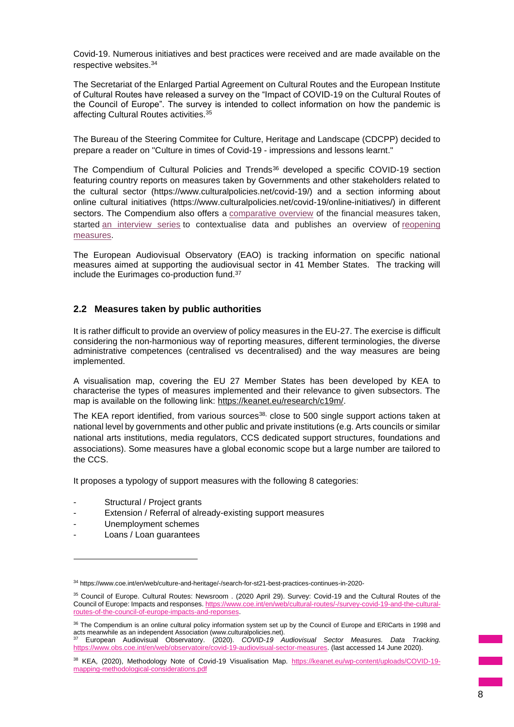Covid-19. Numerous initiatives and best practices were received and are made available on the respective websites.<sup>34</sup>

The Secretariat of the Enlarged Partial Agreement on Cultural Routes and the European Institute of Cultural Routes have released a survey on the "Impact of COVID-19 on the Cultural Routes of the Council of Europe". The survey is intended to collect information on how the pandemic is affecting Cultural Routes activities.<sup>35</sup>

The Bureau of the Steering Commitee for Culture, Heritage and Landscape (CDCPP) decided to prepare a reader on "Culture in times of Covid-19 - impressions and lessons learnt."

The Compendium of Cultural Policies and Trends<sup>36</sup> developed a specific COVID-19 section featuring country reports on measures taken by Governments and other stakeholders related to the cultural sector (https://www.culturalpolicies.net/covid-19/) and a section informing about online cultural initiatives (https://www.culturalpolicies.net/covid-19/online-initiatives/) in different sectors. The Compendium also offers a [comparative overview](https://www.culturalpolicies.net/covid-19/comparative-overview-financial/) of the financial measures taken, started [an interview series](https://www.culturalpolicies.net/covid-19/interview-series/) to contextualise data and publishes an overview of [reopening](https://www.culturalpolicies.net/covid-19/comparative-overview-reopening/)  [measures.](https://www.culturalpolicies.net/covid-19/comparative-overview-reopening/)

The European Audiovisual Observatory (EAO) is tracking information on specific national measures aimed at supporting the audiovisual sector in 41 Member States. The tracking will include the Eurimages co-production fund.<sup>37</sup>

# **2.2 Measures taken by public authorities**

It is rather difficult to provide an overview of policy measures in the EU-27. The exercise is difficult considering the non-harmonious way of reporting measures, different terminologies, the diverse administrative competences (centralised vs decentralised) and the way measures are being implemented.

A visualisation map, covering the EU 27 Member States has been developed by KEA to characterise the types of measures implemented and their relevance to given subsectors. The map is available on the following link: [https://keanet.eu/research/c19m/.](https://keanet.eu/research/c19m/)

The KEA report identified, from various sources<sup>38,</sup> close to 500 single support actions taken at national level by governments and other public and private institutions (e.g. Arts councils or similar national arts institutions, media regulators, CCS dedicated support structures, foundations and associations). Some measures have a global economic scope but a large number are tailored to the CCS.

It proposes a typology of support measures with the following 8 categories:

- Structural / Project grants
- Extension / Referral of already-existing support measures
- Unemployment schemes
- Loans / Loan guarantees

<sup>34</sup> https://www.coe.int/en/web/culture-and-heritage/-/search-for-st21-best-practices-continues-in-2020-

<sup>&</sup>lt;sup>35</sup> Council of Europe. Cultural Routes: Newsroom . (2020 April 29). Survey: Covid-19 and the Cultural Routes of the Council of Europe: Impacts and responses[. https://www.coe.int/en/web/cultural-routes/-/survey-covid-19-and-the-cultural](https://www.coe.int/en/web/cultural-routes/-/survey-covid-19-and-the-cultural-routes-of-the-council-of-europe-impacts-and-reponses)[routes-of-the-council-of-europe-impacts-and-reponses.](https://www.coe.int/en/web/cultural-routes/-/survey-covid-19-and-the-cultural-routes-of-the-council-of-europe-impacts-and-reponses)

<sup>36</sup> The Compendium is an online cultural policy information system set up by the Council of Europe and ERICarts in 1998 and acts meanwhile as an independent Association (www.culturalpolicies.net). <sup>37</sup> European Audiovisual Observatory. (2020). *COVID-19 Audiovisual Sector Measures. Data Tracking.*

[https://www.obs.coe.int/en/web/observatoire/covid-19-audiovisual-sector-measures.](https://www.obs.coe.int/en/web/observatoire/covid-19-audiovisual-sector-measures) (last accessed 14 June 2020).

<sup>38</sup> KEA, (2020), Methodology Note of Covid-19 Visualisation Map. [https://keanet.eu/wp-content/uploads/COVID-19](https://keanet.eu/wp-content/uploads/COVID-19-mapping-methodological-considerations.pdf) [mapping-methodological-considerations.pdf](https://keanet.eu/wp-content/uploads/COVID-19-mapping-methodological-considerations.pdf)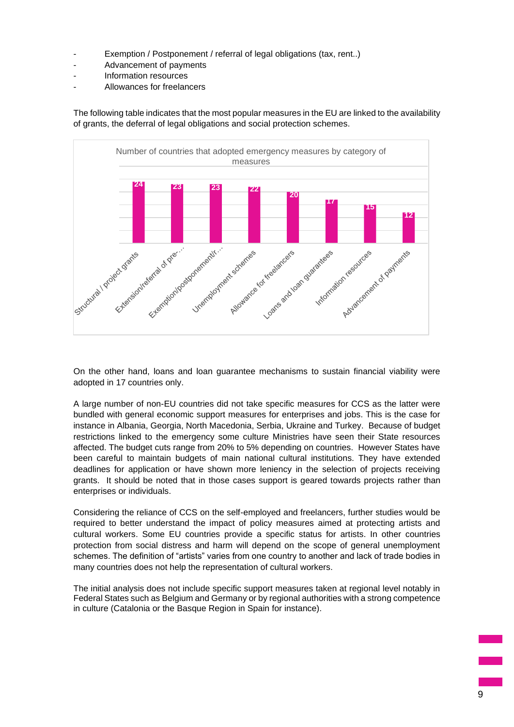- Exemption / Postponement / referral of legal obligations (tax, rent..)
- Advancement of payments
- Information resources
- Allowances for freelancers

The following table indicates that the most popular measures in the EU are linked to the availability of grants, the deferral of legal obligations and social protection schemes.



On the other hand, loans and loan guarantee mechanisms to sustain financial viability were adopted in 17 countries only.

A large number of non-EU countries did not take specific measures for CCS as the latter were bundled with general economic support measures for enterprises and jobs. This is the case for instance in Albania, Georgia, North Macedonia, Serbia, Ukraine and Turkey. Because of budget restrictions linked to the emergency some culture Ministries have seen their State resources affected. The budget cuts range from 20% to 5% depending on countries. However States have been careful to maintain budgets of main national cultural institutions. They have extended deadlines for application or have shown more leniency in the selection of projects receiving grants. It should be noted that in those cases support is geared towards projects rather than enterprises or individuals.

Considering the reliance of CCS on the self-employed and freelancers, further studies would be required to better understand the impact of policy measures aimed at protecting artists and cultural workers. Some EU countries provide a specific status for artists. In other countries protection from social distress and harm will depend on the scope of general unemployment schemes. The definition of "artists" varies from one country to another and lack of trade bodies in many countries does not help the representation of cultural workers.

The initial analysis does not include specific support measures taken at regional level notably in Federal States such as Belgium and Germany or by regional authorities with a strong competence in culture (Catalonia or the Basque Region in Spain for instance).

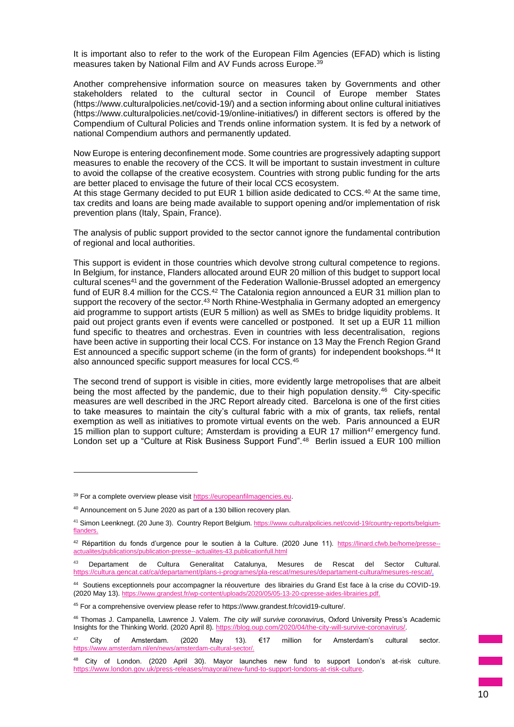It is important also to refer to the work of the European Film Agencies (EFAD) which is listing measures taken by National Film and AV Funds across Europe.<sup>39</sup>

Another comprehensive information source on measures taken by Governments and other stakeholders related to the cultural sector in Council of Europe member States (https://www.culturalpolicies.net/covid-19/) and a section informing about online cultural initiatives (https://www.culturalpolicies.net/covid-19/online-initiatives/) in different sectors is offered by the Compendium of Cultural Policies and Trends online information system. It is fed by a network of national Compendium authors and permanently updated.

Now Europe is entering deconfinement mode. Some countries are progressively adapting support measures to enable the recovery of the CCS. It will be important to sustain investment in culture to avoid the collapse of the creative ecosystem. Countries with strong public funding for the arts are better placed to envisage the future of their local CCS ecosystem.

At this stage Germany decided to put EUR 1 billion aside dedicated to CCS.<sup>40</sup> At the same time, tax credits and loans are being made available to support opening and/or implementation of risk prevention plans (Italy, Spain, France).

The analysis of public support provided to the sector cannot ignore the fundamental contribution of regional and local authorities.

This support is evident in those countries which devolve strong cultural competence to regions. In Belgium, for instance, Flanders allocated around EUR 20 million of this budget to support local cultural scenes<sup>41</sup> and the government of the Federation Wallonie-Brussel adopted an emergency fund of EUR 8.4 million for the CCS.<sup>42</sup> The Catalonia region announced a EUR 31 million plan to support the recovery of the sector.<sup>43</sup> North Rhine-Westphalia in Germany adopted an emergency aid programme to support artists (EUR 5 million) as well as SMEs to bridge liquidity problems. It paid out project grants even if events were cancelled or postponed. It set up a EUR 11 million fund specific to theatres and orchestras. Even in countries with less decentralisation, regions have been active in supporting their local CCS. For instance on 13 May the French Region Grand Est announced a specific support scheme (in the form of grants) for independent bookshops.<sup>44</sup> It also announced specific support measures for local CCS.<sup>45</sup>

The second trend of support is visible in cities, more evidently large metropolises that are albeit being the most affected by the pandemic, due to their high population density.<sup>46</sup> City-specific measures are well described in the JRC Report already cited. Barcelona is one of the first cities to take measures to maintain the city's cultural fabric with a mix of grants, tax reliefs, rental exemption as well as initiatives to promote virtual events on the web. Paris announced a EUR 15 million plan to support culture; Amsterdam is providing a EUR 17 million<sup>47</sup> emergency fund. London set up a "Culture at Risk Business Support Fund".<sup>48</sup> Berlin issued a EUR 100 million

<sup>&</sup>lt;sup>39</sup> For a complete overview please visit [https://europeanfilmagencies.eu.](https://europeanfilmagencies.eu/)

<sup>40</sup> Announcement on 5 June 2020 as part of a 130 billion recovery plan.

<sup>41</sup> Simon Leenknegt. (20 June 3). Country Report Belgium. https://www.culturalpolicies.net/covid-19/country-reports/belgium**flanders** 

<sup>42</sup> Répartition du fonds d'urgence pour le soutien à la Culture. (2020 June 11). https://linard.cfwb.be/home/presse-actualites/publications/publication-presse--actualites-43.publicationfull.html

<sup>43</sup> Departament de Cultura Generalitat Catalunya, Mesures de Rescat del Sector Cultural. <https://cultura.gencat.cat/ca/departament/plans-i-programes/pla-rescat/mesures/departament-cultura/mesures-rescat/>.

<sup>44</sup> Soutiens exceptionnels pour accompagner la réouverture des librairies du Grand Est face à la crise du COVID-19. (2020 May 13). https://www.grandest.fr/wp-content/uploads/2020/05/05-13-20-cpresse-aides-librairies.pdf.

<sup>45</sup> For a comprehensive overview please refer to https://www.grandest.fr/covid19-culture/.

<sup>46</sup> Thomas J. Campanella, Lawrence J. Valem. *The city will survive coronaviru*s, Oxford University Press's Academic Insights for the Thinking World. (2020 April 8).<https://blog.oup.com/2020/04/the-city-will-survive-coronavirus/>.

 $47$  City of Amsterdam. (2020 May 13). €17 million for Amsterdam's cultural sector. [https://www.amsterdam.nl/en/news/amsterdam-cultural-sector/.](https://www.amsterdam.nl/en/news/amsterdam-cultural-sector/)

<sup>&</sup>lt;sup>48</sup> City of London. (2020 April 30). Mayor launches new fund to support London's at-risk culture. [https://www.london.gov.uk/press-releases/mayoral/new-fund-to-support-londons-at-risk-culture.](https://www.london.gov.uk/press-releases/mayoral/new-fund-to-support-londons-at-risk-culture)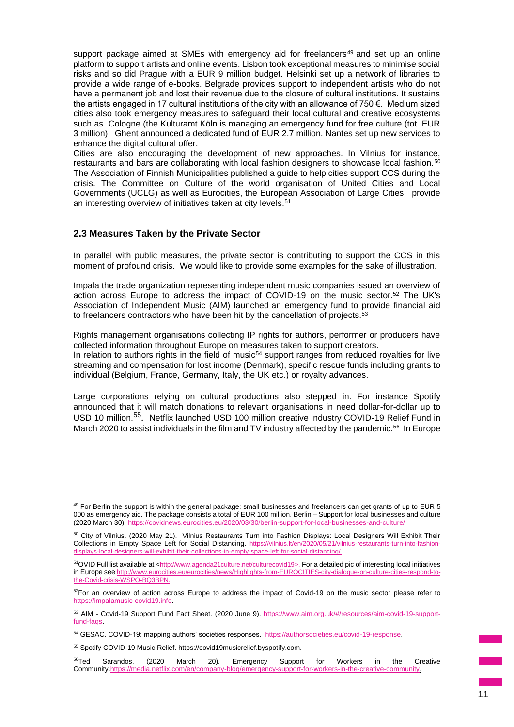support package aimed at SMEs with emergency aid for freelancers<sup>49</sup> and set up an online platform to support artists and online events. Lisbon took exceptional measures to minimise social risks and so did Prague with a EUR 9 million budget. Helsinki set up a network of libraries to provide a wide range of e-books. Belgrade provides support to independent artists who do not have a permanent job and lost their revenue due to the closure of cultural institutions. It sustains the artists engaged in 17 cultural institutions of the city with an allowance of 750 €. Medium sized cities also took emergency measures to safeguard their local cultural and creative ecosystems such as Cologne (the Kulturamt Köln is managing an emergency fund for free culture (tot. EUR 3 million), Ghent announced a dedicated fund of EUR 2.7 million. Nantes set up new services to enhance the digital cultural offer.

Cities are also encouraging the development of new approaches. In Vilnius for instance, restaurants and bars are collaborating with local fashion designers to showcase local fashion.<sup>50</sup> The Association of Finnish Municipalities published a guide to help cities support CCS during the crisis. The Committee on Culture of the world organisation of United Cities and Local Governments (UCLG) as well as Eurocities, the European Association of Large Cities, provide an interesting overview of initiatives taken at city levels.<sup>51</sup>

# **2.3 Measures Taken by the Private Sector**

In parallel with public measures, the private sector is contributing to support the CCS in this moment of profound crisis. We would like to provide some examples for the sake of illustration.

Impala the trade organization representing independent music companies issued an overview of action across Europe to address the impact of COVID-19 on the music sector.<sup>52</sup> The UK's Association of Independent Music (AIM) launched an emergency fund to provide financial aid to freelancers contractors who have been hit by the cancellation of projects.<sup>53</sup>

Rights management organisations collecting IP rights for authors, performer or producers have collected information throughout Europe on measures taken to support creators. In relation to authors rights in the field of music<sup>54</sup> support ranges from reduced royalties for live streaming and compensation for lost income (Denmark), specific rescue funds including grants to individual (Belgium, France, Germany, Italy, the UK etc.) or royalty advances.

Large corporations relying on cultural productions also stepped in. For instance Spotify announced that it will match donations to relevant organisations in need dollar-for-dollar up to USD 10 million.<sup>55</sup>. Netflix launched USD 100 million creative industry COVID-19 Relief Fund in March 2020 to assist individuals in the film and TV industry affected by the pandemic.<sup>56</sup> In Europe

 $49$  For Berlin the support is within the general package: small businesses and freelancers can get grants of up to EUR 5 000 as emergency aid. The package consists a total of EUR 100 million. Berlin – Support for local businesses and culture (2020 March 30). https://covidnews.eurocities.eu/2020/03/30/berlin-support-for-local-businesses-and-culture.

<sup>50</sup> City of Vilnius. (2020 May 21). Vilnius Restaurants Turn into Fashion Displays: Local Designers Will Exhibit Their Collections in Empty Space Left for Social Distancing. [https://vilnius.lt/en/2020/05/21/vilnius-restaurants-turn-into-fashion](https://vilnius.lt/en/2020/05/21/vilnius-restaurants-turn-into-fashion-displays-local-designers-will-exhibit-their-collections-in-empty-space-left-for-social-distancing/) $d$ ill-exhibit-their-collections-in-empty-space-left-for-social-distancing/.

<sup>51</sup>OVID Full list available at <[http://www.agenda21culture.net/culturecovid19>](http://www.agenda21culture.net/culturecovid19). For a detailed pic of interesting local initiatives in Europe see [http://www.eurocities.eu/eurocities/news/Highlights-from-EUROCITIES-city-dialogue-on-culture-cities-respond-to](http://www.eurocities.eu/eurocities/news/Highlights-from-EUROCITIES-city-dialogue-on-culture-cities-respond-to-the-Covid-crisis-WSPO-BQ3BPN)[the-Covid-crisis-WSPO-BQ3BPN.](http://www.eurocities.eu/eurocities/news/Highlights-from-EUROCITIES-city-dialogue-on-culture-cities-respond-to-the-Covid-crisis-WSPO-BQ3BPN)

<sup>&</sup>lt;sup>52</sup>For an overview of action across Europe to address the impact of Covid-19 on the music sector please refer to [https://impalamusic-covid19.info.](https://impalamusic-covid19.info/)

<sup>53</sup> AIM - Covid-19 Support Fund Fact Sheet. (2020 June 9). [https://www.aim.org.uk/#/resources/aim-covid-19-support](https://www.aim.org.uk/#/resources/aim-covid-19-support-fund-faqs)[fund-faqs.](https://www.aim.org.uk/#/resources/aim-covid-19-support-fund-faqs)

<sup>54</sup> GESAC. COVID-19: mapping authors' societies responses. [https://authorsocieties.eu/covid-19-response.](https://authorsocieties.eu/covid-19-response)

<sup>55</sup> Spotify COVID-19 Music Relief. https://covid19musicrelief.byspotify.com.

<sup>&</sup>lt;sup>56</sup>Ted Sarandos, (2020 March 20). Emergency Support for Workers in the Creative Communit[y.https://media.netflix.com/en/company-blog/emergency-support-for-workers-in-the-creative-community.](https://media.netflix.com/en/company-blog/emergency-support-for-workers-in-the-creative-community)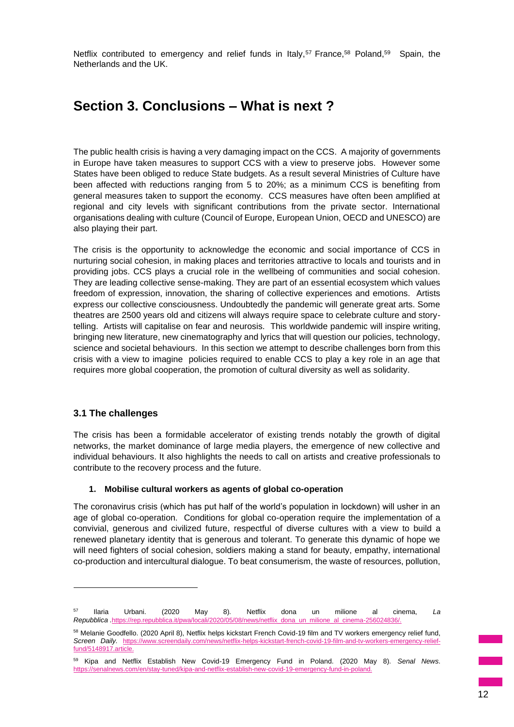Netflix contributed to emergency and relief funds in Italy,<sup>57</sup> France,<sup>58</sup> Poland,<sup>59</sup> Spain, the Netherlands and the UK.

# **Section 3. Conclusions – What is next ?**

The public health crisis is having a very damaging impact on the CCS. A majority of governments in Europe have taken measures to support CCS with a view to preserve jobs. However some States have been obliged to reduce State budgets. As a result several Ministries of Culture have been affected with reductions ranging from 5 to 20%; as a minimum CCS is benefiting from general measures taken to support the economy. CCS measures have often been amplified at regional and city levels with significant contributions from the private sector. International organisations dealing with culture (Council of Europe, European Union, OECD and UNESCO) are also playing their part.

The crisis is the opportunity to acknowledge the economic and social importance of CCS in nurturing social cohesion, in making places and territories attractive to locals and tourists and in providing jobs. CCS plays a crucial role in the wellbeing of communities and social cohesion. They are leading collective sense-making. They are part of an essential ecosystem which values freedom of expression, innovation, the sharing of collective experiences and emotions. Artists express our collective consciousness. Undoubtedly the pandemic will generate great arts. Some theatres are 2500 years old and citizens will always require space to celebrate culture and storytelling. Artists will capitalise on fear and neurosis. This worldwide pandemic will inspire writing, bringing new literature, new cinematography and lyrics that will question our policies, technology, science and societal behaviours. In this section we attempt to describe challenges born from this crisis with a view to imagine policies required to enable CCS to play a key role in an age that requires more global cooperation, the promotion of cultural diversity as well as solidarity.

## **3.1 The challenges**

The crisis has been a formidable accelerator of existing trends notably the growth of digital networks, the market dominance of large media players, the emergence of new collective and individual behaviours. It also highlights the needs to call on artists and creative professionals to contribute to the recovery process and the future.

#### **1. Mobilise cultural workers as agents of global co-operation**

The coronavirus crisis (which has put half of the world's population in lockdown) will usher in an age of global co-operation. Conditions for global co-operation require the implementation of a convivial, generous and civilized future, respectful of diverse cultures with a view to build a renewed planetary identity that is generous and tolerant. To generate this dynamic of hope we will need fighters of social cohesion, soldiers making a stand for beauty, empathy, international co-production and intercultural dialogue. To beat consumerism, the waste of resources, pollution,

<sup>57</sup> Ilaria Urbani. (2020 May 8). Netflix dona un milione al cinema, *La Repubblica .https://rep.republioneuner.https://rep.republioneume.htm* 

<sup>58</sup> Melanie Goodfello. (2020 April 8), Netflix helps kickstart French Covid-19 film and TV workers emergency relief fund, *Screen Daily.* [https://www.screendaily.com/news/netflix-helps-kickstart-french-covid-19-film-and-tv-workers-emergency-relief](https://www.screendaily.com/news/netflix-helps-kickstart-french-covid-19-film-and-tv-workers-emergency-relief-fund/5148917.article)[fund/5148917.article.](https://www.screendaily.com/news/netflix-helps-kickstart-french-covid-19-film-and-tv-workers-emergency-relief-fund/5148917.article)

<sup>59</sup> Kipa and Netflix Establish New Covid-19 Emergency Fund in Poland. (2020 May 8). *Senal News*. https://senalnews.com/en/stay-tuned/kipa-and-netflix-establish-new-covid-19-emergency-fund-in-poland.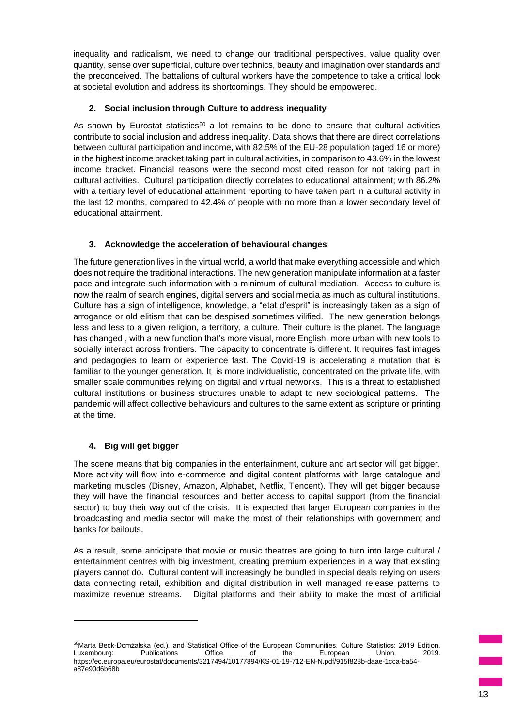inequality and radicalism, we need to change our traditional perspectives, value quality over quantity, sense over superficial, culture over technics, beauty and imagination over standards and the preconceived. The battalions of cultural workers have the competence to take a critical look at societal evolution and address its shortcomings. They should be empowered.

# **2. Social inclusion through Culture to address inequality**

As shown by Eurostat statistics<sup>60</sup> a lot remains to be done to ensure that cultural activities contribute to social inclusion and address inequality. Data shows that there are direct correlations between cultural participation and income, with 82.5% of the EU-28 population (aged 16 or more) in the highest income bracket taking part in cultural activities, in comparison to 43.6% in the lowest income bracket. Financial reasons were the second most cited reason for not taking part in cultural activities. Cultural participation directly correlates to educational attainment; with 86.2% with a tertiary level of educational attainment reporting to have taken part in a cultural activity in the last 12 months, compared to 42.4% of people with no more than a lower secondary level of educational attainment.

# **3. Acknowledge the acceleration of behavioural changes**

The future generation lives in the virtual world, a world that make everything accessible and which does not require the traditional interactions. The new generation manipulate information at a faster pace and integrate such information with a minimum of cultural mediation. Access to culture is now the realm of search engines, digital servers and social media as much as cultural institutions. Culture has a sign of intelligence, knowledge, a "etat d'esprit" is increasingly taken as a sign of arrogance or old elitism that can be despised sometimes vilified. The new generation belongs less and less to a given religion, a territory, a culture. Their culture is the planet. The language has changed , with a new function that's more visual, more English, more urban with new tools to socially interact across frontiers. The capacity to concentrate is different. It requires fast images and pedagogies to learn or experience fast. The Covid-19 is accelerating a mutation that is familiar to the younger generation. It is more individualistic, concentrated on the private life, with smaller scale communities relying on digital and virtual networks. This is a threat to established cultural institutions or business structures unable to adapt to new sociological patterns. The pandemic will affect collective behaviours and cultures to the same extent as scripture or printing at the time.

# **4. Big will get bigger**

The scene means that big companies in the entertainment, culture and art sector will get bigger. More activity will flow into e-commerce and digital content platforms with large catalogue and marketing muscles (Disney, Amazon, Alphabet, Netflix, Tencent). They will get bigger because they will have the financial resources and better access to capital support (from the financial sector) to buy their way out of the crisis. It is expected that larger European companies in the broadcasting and media sector will make the most of their relationships with government and banks for bailouts.

As a result, some anticipate that movie or music theatres are going to turn into large cultural / entertainment centres with big investment, creating premium experiences in a way that existing players cannot do. Cultural content will increasingly be bundled in special deals relying on users data connecting retail, exhibition and digital distribution in well managed release patterns to maximize revenue streams. Digital platforms and their ability to make the most of artificial

<sup>60</sup>Marta Beck-Domżalska (ed.), and Statistical Office of the European Communities. Culture Statistics: 2019 Edition. Luxembourg: Publications Office of the European Union, 2019. https://ec.europa.eu/eurostat/documents/3217494/10177894/KS-01-19-712-EN-N.pdf/915f828b-daae-1cca-ba54 a87e90d6b68b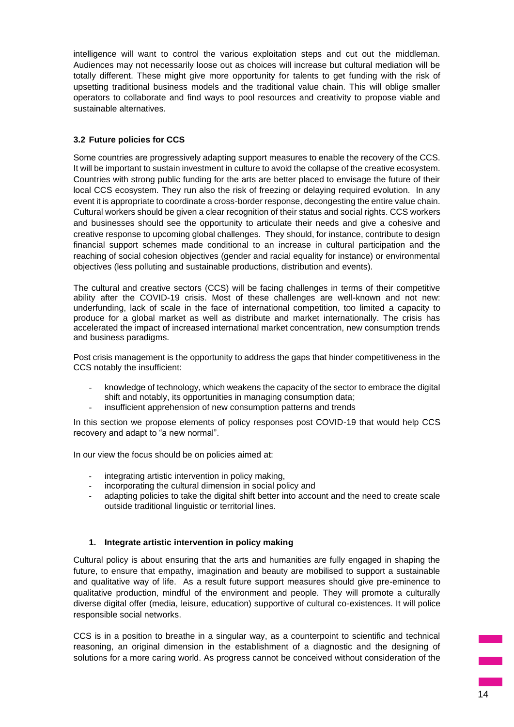intelligence will want to control the various exploitation steps and cut out the middleman. Audiences may not necessarily loose out as choices will increase but cultural mediation will be totally different. These might give more opportunity for talents to get funding with the risk of upsetting traditional business models and the traditional value chain. This will oblige smaller operators to collaborate and find ways to pool resources and creativity to propose viable and sustainable alternatives.

# **3.2 Future policies for CCS**

Some countries are progressively adapting support measures to enable the recovery of the CCS. It will be important to sustain investment in culture to avoid the collapse of the creative ecosystem. Countries with strong public funding for the arts are better placed to envisage the future of their local CCS ecosystem. They run also the risk of freezing or delaying required evolution. In any event it is appropriate to coordinate a cross-border response, decongesting the entire value chain. Cultural workers should be given a clear recognition of their status and social rights. CCS workers and businesses should see the opportunity to articulate their needs and give a cohesive and creative response to upcoming global challenges. They should, for instance, contribute to design financial support schemes made conditional to an increase in cultural participation and the reaching of social cohesion objectives (gender and racial equality for instance) or environmental objectives (less polluting and sustainable productions, distribution and events).

The cultural and creative sectors (CCS) will be facing challenges in terms of their competitive ability after the COVID-19 crisis. Most of these challenges are well-known and not new: underfunding, lack of scale in the face of international competition, too limited a capacity to produce for a global market as well as distribute and market internationally. The crisis has accelerated the impact of increased international market concentration, new consumption trends and business paradigms.

Post crisis management is the opportunity to address the gaps that hinder competitiveness in the CCS notably the insufficient:

- knowledge of technology, which weakens the capacity of the sector to embrace the digital shift and notably, its opportunities in managing consumption data;
- insufficient apprehension of new consumption patterns and trends

In this section we propose elements of policy responses post COVID-19 that would help CCS recovery and adapt to "a new normal".

In our view the focus should be on policies aimed at:

- integrating artistic intervention in policy making,
- incorporating the cultural dimension in social policy and
- adapting policies to take the digital shift better into account and the need to create scale outside traditional linguistic or territorial lines.

## **1. Integrate artistic intervention in policy making**

Cultural policy is about ensuring that the arts and humanities are fully engaged in shaping the future, to ensure that empathy, imagination and beauty are mobilised to support a sustainable and qualitative way of life. As a result future support measures should give pre-eminence to qualitative production, mindful of the environment and people. They will promote a culturally diverse digital offer (media, leisure, education) supportive of cultural co-existences. It will police responsible social networks.

CCS is in a position to breathe in a singular way, as a counterpoint to scientific and technical reasoning, an original dimension in the establishment of a diagnostic and the designing of solutions for a more caring world. As progress cannot be conceived without consideration of the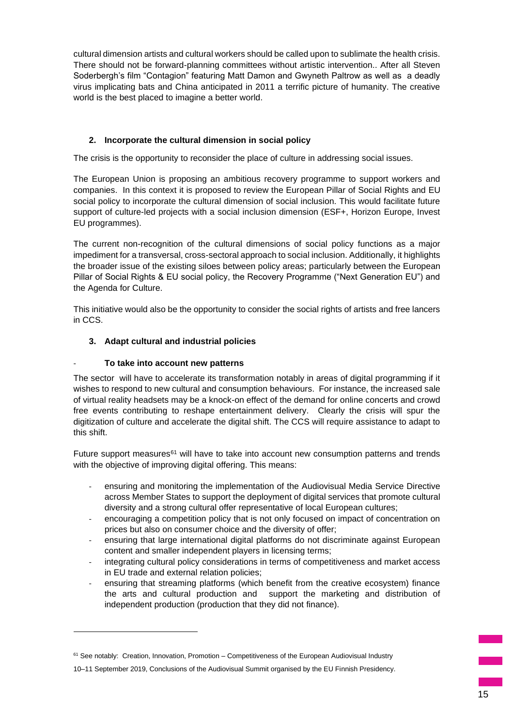cultural dimension artists and cultural workers should be called upon to sublimate the health crisis. There should not be forward-planning committees without artistic intervention.. After all Steven Soderbergh's film "Contagion" featuring Matt Damon and Gwyneth Paltrow as well as a deadly virus implicating bats and China anticipated in 2011 a terrific picture of humanity. The creative world is the best placed to imagine a better world.

# **2. Incorporate the cultural dimension in social policy**

The crisis is the opportunity to reconsider the place of culture in addressing social issues.

The European Union is proposing an ambitious recovery programme to support workers and companies. In this context it is proposed to review the European Pillar of Social Rights and EU social policy to incorporate the cultural dimension of social inclusion. This would facilitate future support of culture-led projects with a social inclusion dimension (ESF+, Horizon Europe, Invest EU programmes).

The current non-recognition of the cultural dimensions of social policy functions as a major impediment for a transversal, cross-sectoral approach to social inclusion. Additionally, it highlights the broader issue of the existing siloes between policy areas; particularly between the European Pillar of Social Rights & EU social policy, the Recovery Programme ("Next Generation EU") and the Agenda for Culture.

This initiative would also be the opportunity to consider the social rights of artists and free lancers in CCS.

# **3. Adapt cultural and industrial policies**

# - **To take into account new patterns**

The sector will have to accelerate its transformation notably in areas of digital programming if it wishes to respond to new cultural and consumption behaviours. For instance, the increased sale of virtual reality headsets may be a knock-on effect of the demand for online concerts and crowd free events contributing to reshape entertainment delivery. Clearly the crisis will spur the digitization of culture and accelerate the digital shift. The CCS will require assistance to adapt to this shift.

Future support measures $61$  will have to take into account new consumption patterns and trends with the objective of improving digital offering. This means:

- ensuring and monitoring the implementation of the Audiovisual Media Service Directive across Member States to support the deployment of digital services that promote cultural diversity and a strong cultural offer representative of local European cultures;
- encouraging a competition policy that is not only focused on impact of concentration on prices but also on consumer choice and the diversity of offer;
- ensuring that large international digital platforms do not discriminate against European content and smaller independent players in licensing terms;
- integrating cultural policy considerations in terms of competitiveness and market access in EU trade and external relation policies;
- ensuring that streaming platforms (which benefit from the creative ecosystem) finance the arts and cultural production and support the marketing and distribution of independent production (production that they did not finance).

 $61$  See notably: Creation, Innovation, Promotion – Competitiveness of the European Audiovisual Industry

<sup>10–11</sup> September 2019, Conclusions of the Audiovisual Summit organised by the EU Finnish Presidency.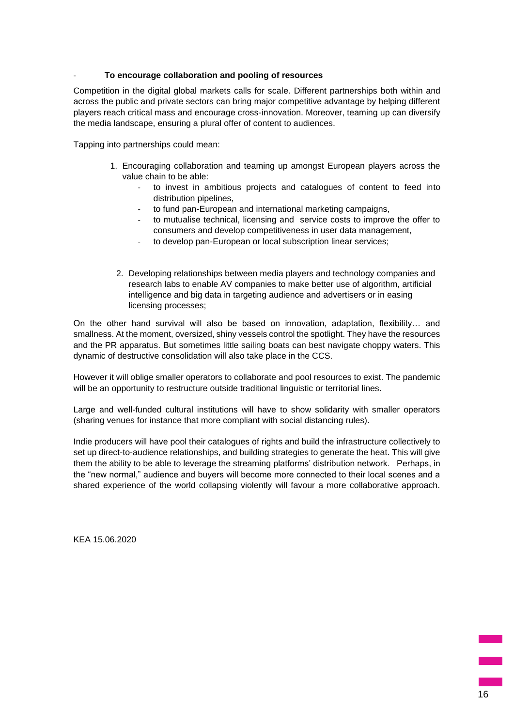## - **To encourage collaboration and pooling of resources**

Competition in the digital global markets calls for scale. Different partnerships both within and across the public and private sectors can bring major competitive advantage by helping different players reach critical mass and encourage cross-innovation. Moreover, teaming up can diversify the media landscape, ensuring a plural offer of content to audiences.

Tapping into partnerships could mean:

- 1. Encouraging collaboration and teaming up amongst European players across the value chain to be able:
	- to invest in ambitious projects and catalogues of content to feed into distribution pipelines,
	- to fund pan-European and international marketing campaigns,
	- to mutualise technical, licensing and service costs to improve the offer to consumers and develop competitiveness in user data management,
	- to develop pan-European or local subscription linear services;
	- 2. Developing relationships between media players and technology companies and research labs to enable AV companies to make better use of algorithm, artificial intelligence and big data in targeting audience and advertisers or in easing licensing processes;

On the other hand survival will also be based on innovation, adaptation, flexibility… and smallness. At the moment, oversized, shiny vessels control the spotlight. They have the resources and the PR apparatus. But sometimes little sailing boats can best navigate choppy waters. This dynamic of destructive consolidation will also take place in the CCS.

However it will oblige smaller operators to collaborate and pool resources to exist. The pandemic will be an opportunity to restructure outside traditional linguistic or territorial lines.

Large and well-funded cultural institutions will have to show solidarity with smaller operators (sharing venues for instance that more compliant with social distancing rules).

Indie producers will have pool their catalogues of rights and build the infrastructure collectively to set up direct-to-audience relationships, and building strategies to generate the heat. This will give them the ability to be able to leverage the streaming platforms' distribution network. Perhaps, in the "new normal," audience and buyers will become more connected to their local scenes and a shared experience of the world collapsing violently will favour a more collaborative approach.

KEA 15.06.2020